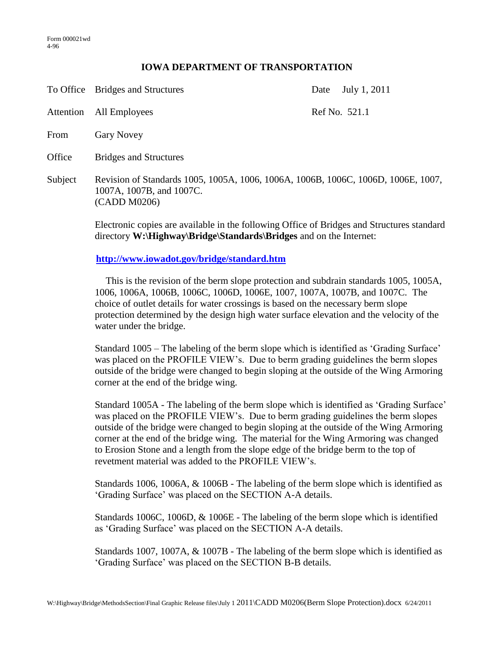## **IOWA DEPARTMENT OF TRANSPORTATION**

|           | To Office Bridges and Structures                                                                                              | July 1, 2011<br>Date |
|-----------|-------------------------------------------------------------------------------------------------------------------------------|----------------------|
| Attention | All Employees                                                                                                                 | Ref No. 521.1        |
| From      | <b>Gary Novey</b>                                                                                                             |                      |
| Office    | <b>Bridges and Structures</b>                                                                                                 |                      |
| Subject   | Revision of Standards 1005, 1005A, 1006, 1006A, 1006B, 1006C, 1006D, 1006E, 1007,<br>1007A, 1007B, and 1007C.<br>(CADD M0206) |                      |

Electronic copies are available in the following Office of Bridges and Structures standard directory **W:\Highway\Bridge\Standards\Bridges** and on the Internet:

## **<http://www.iowadot.gov/bridge/standard.htm>**

This is the revision of the berm slope protection and subdrain standards 1005, 1005A, 1006, 1006A, 1006B, 1006C, 1006D, 1006E, 1007, 1007A, 1007B, and 1007C. The choice of outlet details for water crossings is based on the necessary berm slope protection determined by the design high water surface elevation and the velocity of the water under the bridge.

Standard 1005 – The labeling of the berm slope which is identified as 'Grading Surface' was placed on the PROFILE VIEW's. Due to berm grading guidelines the berm slopes outside of the bridge were changed to begin sloping at the outside of the Wing Armoring corner at the end of the bridge wing.

Standard 1005A - The labeling of the berm slope which is identified as 'Grading Surface' was placed on the PROFILE VIEW's. Due to berm grading guidelines the berm slopes outside of the bridge were changed to begin sloping at the outside of the Wing Armoring corner at the end of the bridge wing. The material for the Wing Armoring was changed to Erosion Stone and a length from the slope edge of the bridge berm to the top of revetment material was added to the PROFILE VIEW's.

Standards 1006, 1006A, & 1006B - The labeling of the berm slope which is identified as 'Grading Surface' was placed on the SECTION A-A details.

Standards 1006C, 1006D, & 1006E - The labeling of the berm slope which is identified as 'Grading Surface' was placed on the SECTION A-A details.

Standards 1007, 1007A, & 1007B - The labeling of the berm slope which is identified as 'Grading Surface' was placed on the SECTION B-B details.